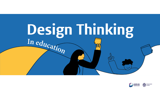

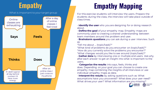#### What is important to your target group



# **Empathy Empathy Mapping**

For this exercise students will interview the users. Prepare the students during the class, the interview will take place outside of class times.

- **Identify the user** who you are designing for or doing research about.

- **Define the goal** of your empathy map. Empahty maps are commonly used to creating a shared understanding between team members around the problem and user.

- **Brainstorm questions** you can ask during a user interview. Such as:

"Tell me about ... (topic/task)?"

"What kind of problems do you encounter on (topic/task)?" "How do you currently solve the problems you encounter?" "What changes would you like to see around (topic/task)?" - **Gather data** by interviewing one or multiple end-users. Ask why after each answer to get an insight into what is important to the users.

- **Categorize the results** into says, feels, thinks and does. Depending on your goal you can choose to create one empahty map combining the insights of all interviews or use individual empahty maps as data.

- **Interpret the results** by asking questions such as: What assumptions have you uncovered? What does your user need? What drives your user? What information are you missing?

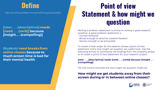

Narrow the problem to something actionable

**[User . . . (descriptive)] needs [need . . . (verb)] because [insight. . . (compelling)]**

**Students need breaks from online classes because to much screen time is bad for their mental health**

## **Point of view Statement & how might we question**

Writing a problem statement is similar to writing a good research question. A good problem statement is

- Human centered
- Broad enough to allow for creative freedom
- Narrow enough to be actionable

To create a clear scope for the ideation phase a point of view statement and a how might we question are useful tools. Use the following format to summarize the findings from the empathy phase or to create a point of view statement for your research project

#### **[User . . . (descriptive)] needs [need . . . (verb)] because [insight. . . (compelling)]**

For the current example the how might we question might be

### **How might we get students away from their screen during or in between online classes?**